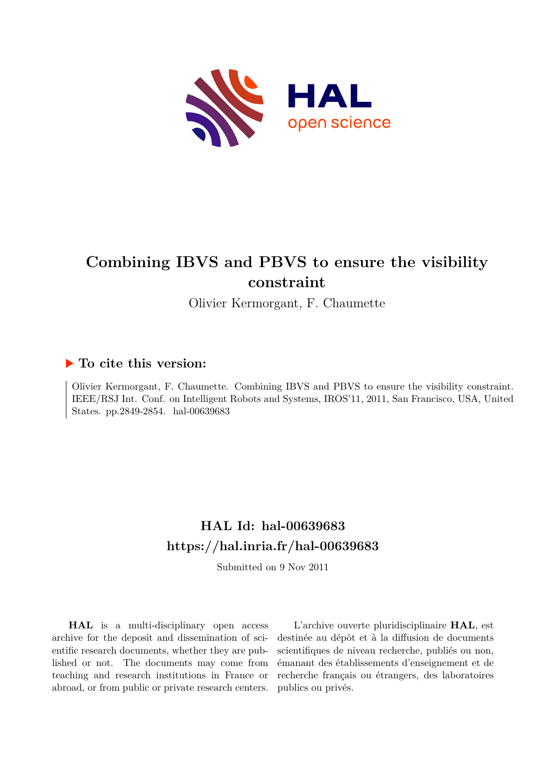

# **Combining IBVS and PBVS to ensure the visibility constraint**

Olivier Kermorgant, F. Chaumette

## **To cite this version:**

Olivier Kermorgant, F. Chaumette. Combining IBVS and PBVS to ensure the visibility constraint. IEEE/RSJ Int. Conf. on Intelligent Robots and Systems, IROS'11, 2011, San Francisco, USA, United States. pp.2849-2854. hal-00639683

## **HAL Id: hal-00639683 <https://hal.inria.fr/hal-00639683>**

Submitted on 9 Nov 2011

**HAL** is a multi-disciplinary open access archive for the deposit and dissemination of scientific research documents, whether they are published or not. The documents may come from teaching and research institutions in France or abroad, or from public or private research centers.

L'archive ouverte pluridisciplinaire **HAL**, est destinée au dépôt et à la diffusion de documents scientifiques de niveau recherche, publiés ou non, émanant des établissements d'enseignement et de recherche français ou étrangers, des laboratoires publics ou privés.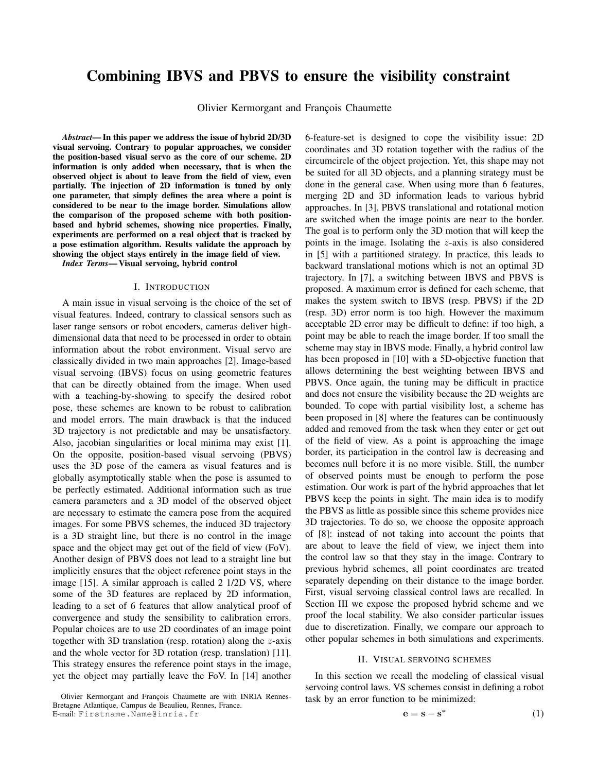## Combining IBVS and PBVS to ensure the visibility constraint

Olivier Kermorgant and François Chaumette

*Abstract*— In this paper we address the issue of hybrid 2D/3D visual servoing. Contrary to popular approaches, we consider the position-based visual servo as the core of our scheme. 2D information is only added when necessary, that is when the observed object is about to leave from the field of view, even partially. The injection of 2D information is tuned by only one parameter, that simply defines the area where a point is considered to be near to the image border. Simulations allow the comparison of the proposed scheme with both positionbased and hybrid schemes, showing nice properties. Finally, experiments are performed on a real object that is tracked by a pose estimation algorithm. Results validate the approach by showing the object stays entirely in the image field of view.

*Index Terms*— Visual servoing, hybrid control

#### I. INTRODUCTION

A main issue in visual servoing is the choice of the set of visual features. Indeed, contrary to classical sensors such as laser range sensors or robot encoders, cameras deliver highdimensional data that need to be processed in order to obtain information about the robot environment. Visual servo are classically divided in two main approaches [2]. Image-based visual servoing (IBVS) focus on using geometric features that can be directly obtained from the image. When used with a teaching-by-showing to specify the desired robot pose, these schemes are known to be robust to calibration and model errors. The main drawback is that the induced 3D trajectory is not predictable and may be unsatisfactory. Also, jacobian singularities or local minima may exist [1]. On the opposite, position-based visual servoing (PBVS) uses the 3D pose of the camera as visual features and is globally asymptotically stable when the pose is assumed to be perfectly estimated. Additional information such as true camera parameters and a 3D model of the observed object are necessary to estimate the camera pose from the acquired images. For some PBVS schemes, the induced 3D trajectory is a 3D straight line, but there is no control in the image space and the object may get out of the field of view (FoV). Another design of PBVS does not lead to a straight line but implicitly ensures that the object reference point stays in the image [15]. A similar approach is called 2 1/2D VS, where some of the 3D features are replaced by 2D information, leading to a set of 6 features that allow analytical proof of convergence and study the sensibility to calibration errors. Popular choices are to use 2D coordinates of an image point together with 3D translation (resp. rotation) along the  $z$ -axis and the whole vector for 3D rotation (resp. translation) [11]. This strategy ensures the reference point stays in the image, yet the object may partially leave the FoV. In [14] another

6-feature-set is designed to cope the visibility issue: 2D coordinates and 3D rotation together with the radius of the circumcircle of the object projection. Yet, this shape may not be suited for all 3D objects, and a planning strategy must be done in the general case. When using more than 6 features, merging 2D and 3D information leads to various hybrid approaches. In [3], PBVS translational and rotational motion are switched when the image points are near to the border. The goal is to perform only the 3D motion that will keep the points in the image. Isolating the z-axis is also considered in [5] with a partitioned strategy. In practice, this leads to backward translational motions which is not an optimal 3D trajectory. In [7], a switching between IBVS and PBVS is proposed. A maximum error is defined for each scheme, that makes the system switch to IBVS (resp. PBVS) if the 2D (resp. 3D) error norm is too high. However the maximum acceptable 2D error may be difficult to define: if too high, a point may be able to reach the image border. If too small the scheme may stay in IBVS mode. Finally, a hybrid control law has been proposed in [10] with a 5D-objective function that allows determining the best weighting between IBVS and PBVS. Once again, the tuning may be difficult in practice and does not ensure the visibility because the 2D weights are bounded. To cope with partial visibility lost, a scheme has been proposed in [8] where the features can be continuously added and removed from the task when they enter or get out of the field of view. As a point is approaching the image border, its participation in the control law is decreasing and becomes null before it is no more visible. Still, the number of observed points must be enough to perform the pose estimation. Our work is part of the hybrid approaches that let PBVS keep the points in sight. The main idea is to modify the PBVS as little as possible since this scheme provides nice 3D trajectories. To do so, we choose the opposite approach of [8]: instead of not taking into account the points that are about to leave the field of view, we inject them into the control law so that they stay in the image. Contrary to previous hybrid schemes, all point coordinates are treated separately depending on their distance to the image border. First, visual servoing classical control laws are recalled. In Section III we expose the proposed hybrid scheme and we proof the local stability. We also consider particular issues due to discretization. Finally, we compare our approach to other popular schemes in both simulations and experiments.

#### II. VISUAL SERVOING SCHEMES

In this section we recall the modeling of classical visual servoing control laws. VS schemes consist in defining a robot task by an error function to be minimized:

$$
\mathbf{e} = \mathbf{s} - \mathbf{s}^* \tag{1}
$$

Olivier Kermorgant and François Chaumette are with INRIA Rennes-Bretagne Atlantique, Campus de Beaulieu, Rennes, France. E-mail: Firstname.Name@inria.fr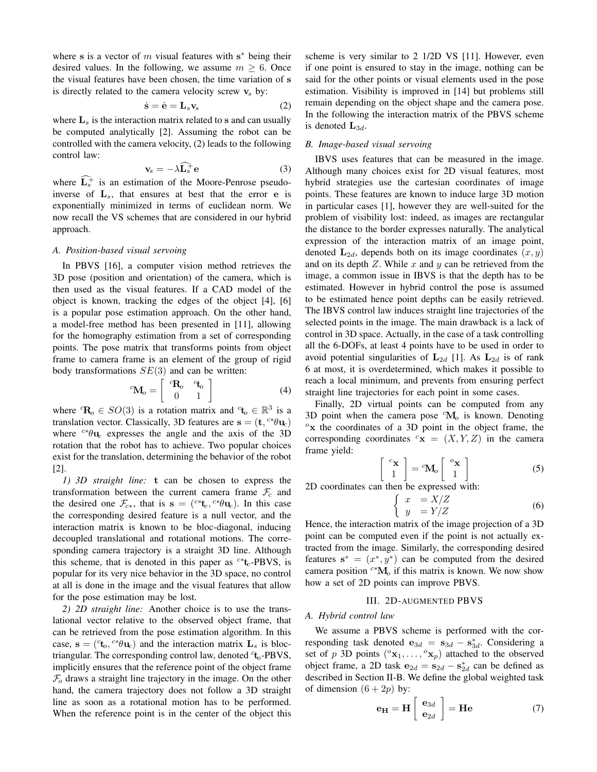where s is a vector of  $m$  visual features with  $s^*$  being their desired values. In the following, we assume  $m \geq 6$ . Once the visual features have been chosen, the time variation of s is directly related to the camera velocity screw  $v_s$  by:

$$
\dot{\mathbf{s}} = \dot{\mathbf{e}} = \mathbf{L}_s \mathbf{v}_s \tag{2}
$$

where  $\mathbf{L}_s$  is the interaction matrix related to s and can usually be computed analytically [2]. Assuming the robot can be controlled with the camera velocity, (2) leads to the following control law:

$$
\mathbf{v}_s = -\lambda \widehat{\mathbf{L}_s} + \mathbf{e}
$$
 (3)

where  $\widehat{L_s^+}$  is an estimation of the Moore-Penrose pseudoinverse of  $L_s$ , that ensures at best that the error e is exponentially minimized in terms of euclidean norm. We now recall the VS schemes that are considered in our hybrid approach.

#### *A. Position-based visual servoing*

In PBVS [16], a computer vision method retrieves the 3D pose (position and orientation) of the camera, which is then used as the visual features. If a CAD model of the object is known, tracking the edges of the object [4], [6] is a popular pose estimation approach. On the other hand, a model-free method has been presented in [11], allowing for the homography estimation from a set of corresponding points. The pose matrix that transforms points from object frame to camera frame is an element of the group of rigid body transformations  $SE(3)$  and can be written:

$$
{}^{c}\mathbf{M}_{o} = \left[ \begin{array}{cc} {}^{c}\mathbf{R}_{o} & {}^{c}\mathbf{t}_{o} \\ 0 & 1 \end{array} \right] \tag{4}
$$

where  ${}^{c}R_{o} \in SO(3)$  is a rotation matrix and  ${}^{c}t_{o} \in \mathbb{R}^{3}$  is a translation vector. Classically, 3D features are  $\mathbf{s} = (\mathbf{t}, {}^{c*}\theta \mathbf{u}_c)$ where  $c^*\theta u_c$  expresses the angle and the axis of the 3D rotation that the robot has to achieve. Two popular choices exist for the translation, determining the behavior of the robot [2].

*1) 3D straight line:* t can be chosen to express the transformation between the current camera frame  $\mathcal{F}_c$  and the desired one  $\mathcal{F}_{c*}$ , that is  $\mathbf{s} = (c *_{\mathbf{t}_c}, c * \theta \mathbf{u}_c)$ . In this case the corresponding desired feature is a null vector, and the interaction matrix is known to be bloc-diagonal, inducing decoupled translational and rotational motions. The corresponding camera trajectory is a straight 3D line. Although this scheme, that is denoted in this paper as  $c * t_c$ -PBVS, is popular for its very nice behavior in the 3D space, no control at all is done in the image and the visual features that allow for the pose estimation may be lost.

*2) 2D straight line:* Another choice is to use the translational vector relative to the observed object frame, that can be retrieved from the pose estimation algorithm. In this case,  $\mathbf{s} = (\mathbf{f}_o, {}^{c*}\theta \mathbf{u}_c)$  and the interaction matrix  $\mathbf{L}_s$  is bloctriangular. The corresponding control law, denoted <sup>c</sup>t<sub>o</sub>-PBVS, implicitly ensures that the reference point of the object frame  $\mathcal{F}_o$  draws a straight line trajectory in the image. On the other hand, the camera trajectory does not follow a 3D straight line as soon as a rotational motion has to be performed. When the reference point is in the center of the object this scheme is very similar to 2 1/2D VS [11]. However, even if one point is ensured to stay in the image, nothing can be said for the other points or visual elements used in the pose estimation. Visibility is improved in [14] but problems still remain depending on the object shape and the camera pose. In the following the interaction matrix of the PBVS scheme is denoted  $L_{3d}$ .

#### *B. Image-based visual servoing*

IBVS uses features that can be measured in the image. Although many choices exist for 2D visual features, most hybrid strategies use the cartesian coordinates of image points. These features are known to induce large 3D motion in particular cases [1], however they are well-suited for the problem of visibility lost: indeed, as images are rectangular the distance to the border expresses naturally. The analytical expression of the interaction matrix of an image point, denoted  $L_{2d}$ , depends both on its image coordinates  $(x, y)$ and on its depth  $Z$ . While  $x$  and  $y$  can be retrieved from the image, a common issue in IBVS is that the depth has to be estimated. However in hybrid control the pose is assumed to be estimated hence point depths can be easily retrieved. The IBVS control law induces straight line trajectories of the selected points in the image. The main drawback is a lack of control in 3D space. Actually, in the case of a task controlling all the 6-DOFs, at least 4 points have to be used in order to avoid potential singularities of  $L_{2d}$  [1]. As  $L_{2d}$  is of rank 6 at most, it is overdetermined, which makes it possible to reach a local minimum, and prevents from ensuring perfect straight line trajectories for each point in some cases.

Finally, 2D virtual points can be computed from any 3D point when the camera pose  ${}^c\mathbf{M}_o$  is known. Denoting  $\alpha$ x the coordinates of a 3D point in the object frame, the corresponding coordinates  $c_{\mathbf{x}} = (X, Y, Z)$  in the camera frame yield:

$$
\begin{bmatrix} c_{\mathbf{X}} \\ 1 \end{bmatrix} = {}^{c}\mathbf{M}_{o} \begin{bmatrix} {}^{o}\mathbf{x} \\ 1 \end{bmatrix}
$$
 (5)

2D coordinates can then be expressed with:

$$
\begin{cases}\n x &= X/Z \\
y &= Y/Z\n\end{cases} (6)
$$

Hence, the interaction matrix of the image projection of a 3D point can be computed even if the point is not actually extracted from the image. Similarly, the corresponding desired features  $\mathbf{s}^* = (x^*, y^*)$  can be computed from the desired camera position <sup>c∗</sup>M<sub>o</sub> if this matrix is known. We now show how a set of 2D points can improve PBVS.

#### III. 2D-AUGMENTED PBVS

#### *A. Hybrid control law*

We assume a PBVS scheme is performed with the corresponding task denoted  $\mathbf{e}_{3d} = \mathbf{s}_{3d} - \mathbf{s}_{3d}^*$ . Considering a set of p 3D points  $({}^{\circ}x_1,\ldots,{}^{\circ}x_p)$  attached to the observed object frame, a 2D task  $e_{2d} = s_{2d} - s_{2d}^*$  can be defined as described in Section II-B. We define the global weighted task of dimension  $(6 + 2p)$  by:

$$
\mathbf{e}_{\mathbf{H}} = \mathbf{H} \begin{bmatrix} \mathbf{e}_{3d} \\ \mathbf{e}_{2d} \end{bmatrix} = \mathbf{H}\mathbf{e}
$$
 (7)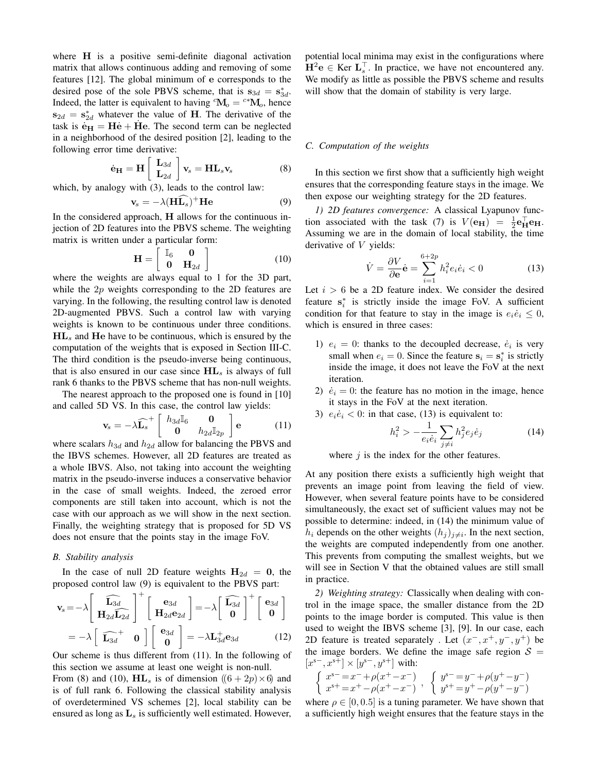where **H** is a positive semi-definite diagonal activation matrix that allows continuous adding and removing of some features [12]. The global minimum of e corresponds to the desired pose of the sole PBVS scheme, that is  $s_{3d} = s_{3d}^*$ . Indeed, the latter is equivalent to having  ${}^c\mathbf{M}_o = {}^{c*}\mathbf{M}_o$ , hence  $s_{2d} = s_{2d}^*$  whatever the value of H. The derivative of the task is  $\mathbf{e}_{\mathbf{H}} = \mathbf{H}\mathbf{e} + \mathbf{H}\mathbf{e}$ . The second term can be neglected in a neighborhood of the desired position [2], leading to the following error time derivative:

$$
\dot{\mathbf{e}}_{\mathbf{H}} = \mathbf{H} \begin{bmatrix} \mathbf{L}_{3d} \\ \mathbf{L}_{2d} \end{bmatrix} \mathbf{v}_s = \mathbf{H} \mathbf{L}_s \mathbf{v}_s \tag{8}
$$

which, by analogy with  $(3)$ , leads to the control law:

$$
\mathbf{v}_s = -\lambda (\mathbf{H}\widehat{\mathbf{L}_s})^+ \mathbf{He}
$$
 (9)

In the considered approach, H allows for the continuous injection of 2D features into the PBVS scheme. The weighting matrix is written under a particular form:

$$
\mathbf{H} = \left[ \begin{array}{cc} \mathbb{I}_6 & \mathbf{0} \\ \mathbf{0} & \mathbf{H}_{2d} \end{array} \right] \tag{10}
$$

where the weights are always equal to 1 for the 3D part, while the 2p weights corresponding to the 2D features are varying. In the following, the resulting control law is denoted 2D-augmented PBVS. Such a control law with varying weights is known to be continuous under three conditions.  $HL<sub>s</sub>$  and  $He$  have to be continuous, which is ensured by the computation of the weights that is exposed in Section III-C. The third condition is the pseudo-inverse being continuous, that is also ensured in our case since  $HL_s$  is always of full rank 6 thanks to the PBVS scheme that has non-null weights.

The nearest approach to the proposed one is found in [10] and called 5D VS. In this case, the control law yields:

$$
\mathbf{v}_s = -\lambda \widehat{\mathbf{L}_s}^+ \begin{bmatrix} h_{3d} \mathbb{I}_6 & \mathbf{0} \\ \mathbf{0} & h_{2d} \mathbb{I}_{2p} \end{bmatrix} \mathbf{e} \tag{11}
$$

where scalars  $h_{3d}$  and  $h_{2d}$  allow for balancing the PBVS and the IBVS schemes. However, all 2D features are treated as a whole IBVS. Also, not taking into account the weighting matrix in the pseudo-inverse induces a conservative behavior in the case of small weights. Indeed, the zeroed error components are still taken into account, which is not the case with our approach as we will show in the next section. Finally, the weighting strategy that is proposed for 5D VS does not ensure that the points stay in the image FoV.

#### *B. Stability analysis*

In the case of null 2D feature weights  $H_{2d} = 0$ , the proposed control law (9) is equivalent to the PBVS part:

$$
\mathbf{v}_s = -\lambda \begin{bmatrix} \widehat{\mathbf{L}_{3d}} \\ \mathbf{H}_{2d} \widehat{\mathbf{L}_{2d}} \end{bmatrix}^+ \begin{bmatrix} \mathbf{e}_{3d} \\ \mathbf{H}_{2d} \mathbf{e}_{2d} \end{bmatrix} = -\lambda \begin{bmatrix} \widehat{\mathbf{L}_{3d}} \\ \mathbf{0} \end{bmatrix}^+ \begin{bmatrix} \mathbf{e}_{3d} \\ \mathbf{0} \end{bmatrix}
$$

$$
= -\lambda \begin{bmatrix} \widehat{\mathbf{L}_{3d}}^+ & \mathbf{0} \end{bmatrix} \begin{bmatrix} \mathbf{e}_{3d} \\ \mathbf{0} \end{bmatrix} = -\lambda \mathbf{L}_{3d}^+ \mathbf{e}_{3d} \qquad (12)
$$

Our scheme is thus different from (11). In the following of this section we assume at least one weight is non-null.

From (8) and (10),  $\mathbf{HL}_s$  is of dimension  $((6+2p)\times 6)$  and is of full rank 6. Following the classical stability analysis of overdetermined VS schemes [2], local stability can be ensured as long as  $L<sub>s</sub>$  is sufficiently well estimated. However,

potential local minima may exist in the configurations where  $\mathbf{H}^2 \mathbf{e} \in \text{Ker } \mathbf{L}_s^{\top}$ . In practice, we have not encountered any. We modify as little as possible the PBVS scheme and results will show that the domain of stability is very large.

#### *C. Computation of the weights*

In this section we first show that a sufficiently high weight ensures that the corresponding feature stays in the image. We then expose our weighting strategy for the 2D features.

*1) 2D features convergence:* A classical Lyapunov function associated with the task (7) is  $V(\mathbf{e}_{\mathbf{H}}) = \frac{1}{2} \mathbf{e}_{\mathbf{H}}^{\top} \mathbf{e}_{\mathbf{H}}$ . Assuming we are in the domain of local stability, the time derivative of V yields:

$$
\dot{V} = \frac{\partial V}{\partial \mathbf{e}} \dot{\mathbf{e}} = \sum_{i=1}^{6+2p} h_i^2 e_i \dot{e}_i < 0 \tag{13}
$$

Let  $i > 6$  be a 2D feature index. We consider the desired feature  $s_i^*$  is strictly inside the image FoV. A sufficient condition for that feature to stay in the image is  $e_i \dot{e}_i \leq 0$ , which is ensured in three cases:

- 1)  $e_i = 0$ : thanks to the decoupled decrease,  $\dot{e}_i$  is very small when  $e_i = 0$ . Since the feature  $s_i = s_i^*$  is strictly inside the image, it does not leave the FoV at the next iteration.
- 2)  $\dot{e}_i = 0$ : the feature has no motion in the image, hence it stays in the FoV at the next iteration.
- 3)  $e_i \dot{e}_i < 0$ : in that case, (13) is equivalent to:

$$
h_i^2 > -\frac{1}{e_i \dot{e}_i} \sum_{j \neq i} h_j^2 e_j \dot{e}_j \tag{14}
$$

where  $j$  is the index for the other features.

At any position there exists a sufficiently high weight that prevents an image point from leaving the field of view. However, when several feature points have to be considered simultaneously, the exact set of sufficient values may not be possible to determine: indeed, in (14) the minimum value of  $h_i$  depends on the other weights  $(h_j)_{j\neq i}$ . In the next section, the weights are computed independently from one another. This prevents from computing the smallest weights, but we will see in Section V that the obtained values are still small in practice.

*2) Weighting strategy:* Classically when dealing with control in the image space, the smaller distance from the 2D points to the image border is computed. This value is then used to weight the IBVS scheme [3], [9]. In our case, each 2D feature is treated separately . Let  $(x^-, x^+, y^-, y^+)$  be the image borders. We define the image safe region  $S =$  $[x^{s-}, x^{s+}] \times [y^{s-}, y^{s+}]$  with:

$$
\left\{\begin{array}{l} {x}^{s-}=x^- + \rho (x^+ - x^-)\\ {x}^{s+}=x^+ - \rho (x^+ - x^-)\end{array}\right.,\;\; \left\{\begin{array}{l} {y}^{s-}=y^- + \rho (y^+ - y^-)\\ {y}^{s+}=y^+ - \rho (y^+ - y^-)\end{array}\right.
$$

where  $\rho \in [0, 0.5]$  is a tuning parameter. We have shown that a sufficiently high weight ensures that the feature stays in the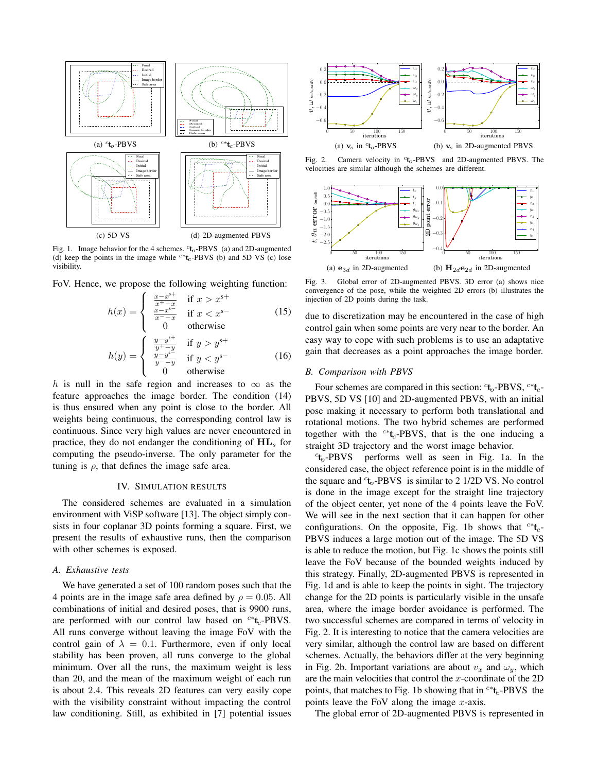

Fig. 1. Image behavior for the 4 schemes.  $c_{\mathbf{t}_0}$ -PBVS (a) and 2D-augmented (d) keep the points in the image while <sup>c∗t</sup>c-PBVS (b) and 5D VS (c) lose visibility.

FoV. Hence, we propose the following weighting function:

$$
h(x) = \begin{cases} \frac{x - x^{s+}}{x^+ - x} & \text{if } x > x^{s+} \\ \frac{x - x^{s-}}{x^- - x} & \text{if } x < x^{s-} \\ 0 & \text{otherwise} \end{cases}
$$
(15)

$$
h(y) = \begin{cases} \frac{y - y^{s+}}{y^+ - y} & \text{if } y > y^{s+} \\ \frac{y - y^{s-}}{y^+ - y} & \text{if } y < y^{s-} \\ 0 & \text{otherwise} \end{cases}
$$
 (16)

h is null in the safe region and increases to  $\infty$  as the feature approaches the image border. The condition (14) is thus ensured when any point is close to the border. All weights being continuous, the corresponding control law is continuous. Since very high values are never encountered in practice, they do not endanger the conditioning of  $HL$ <sub>s</sub> for computing the pseudo-inverse. The only parameter for the tuning is  $\rho$ , that defines the image safe area.

#### IV. SIMULATION RESULTS

The considered schemes are evaluated in a simulation environment with ViSP software [13]. The object simply consists in four coplanar 3D points forming a square. First, we present the results of exhaustive runs, then the comparison with other schemes is exposed.

#### *A. Exhaustive tests*

We have generated a set of 100 random poses such that the 4 points are in the image safe area defined by  $\rho = 0.05$ . All combinations of initial and desired poses, that is 9900 runs, are performed with our control law based on  $c * t_c$ -PBVS. All runs converge without leaving the image FoV with the control gain of  $\lambda = 0.1$ . Furthermore, even if only local stability has been proven, all runs converge to the global minimum. Over all the runs, the maximum weight is less than 20, and the mean of the maximum weight of each run is about 2.4. This reveals 2D features can very easily cope with the visibility constraint without impacting the control law conditioning. Still, as exhibited in [7] potential issues



Fig. 2. Camera velocity in <sup>c</sup>t<sub>o</sub>-PBVS and 2D-augmented PBVS. The velocities are similar although the schemes are different.



Fig. 3. Global error of 2D-augmented PBVS. 3D error (a) shows nice convergence of the pose, while the weighted 2D errors (b) illustrates the injection of 2D points during the task.

due to discretization may be encountered in the case of high control gain when some points are very near to the border. An easy way to cope with such problems is to use an adaptative gain that decreases as a point approaches the image border.

#### *B. Comparison with PBVS*

Four schemes are compared in this section:  $ct_0$ -PBVS,  $c*t_c$ -PBVS, 5D VS [10] and 2D-augmented PBVS, with an initial pose making it necessary to perform both translational and rotational motions. The two hybrid schemes are performed together with the <sup>c∗</sup>t<sub>c</sub>-PBVS, that is the one inducing a straight 3D trajectory and the worst image behavior.

 $c_{\mathbf{t}}$ -PBVS performs well as seen in Fig. 1a. In the considered case, the object reference point is in the middle of the square and  $t_0$ -PBVS is similar to 2 1/2D VS. No control is done in the image except for the straight line trajectory of the object center, yet none of the 4 points leave the FoV. We will see in the next section that it can happen for other configurations. On the opposite, Fig. 1b shows that  $c^*t_c$ -PBVS induces a large motion out of the image. The 5D VS is able to reduce the motion, but Fig. 1c shows the points still leave the FoV because of the bounded weights induced by this strategy. Finally, 2D-augmented PBVS is represented in Fig. 1d and is able to keep the points in sight. The trajectory change for the 2D points is particularly visible in the unsafe area, where the image border avoidance is performed. The two successful schemes are compared in terms of velocity in Fig. 2. It is interesting to notice that the camera velocities are very similar, although the control law are based on different schemes. Actually, the behaviors differ at the very beginning in Fig. 2b. Important variations are about  $v_x$  and  $\omega_y$ , which are the main velocities that control the  $x$ -coordinate of the 2D points, that matches to Fig. 1b showing that in  $c * t_c$ -PBVS the points leave the FoV along the image  $x$ -axis.

The global error of 2D-augmented PBVS is represented in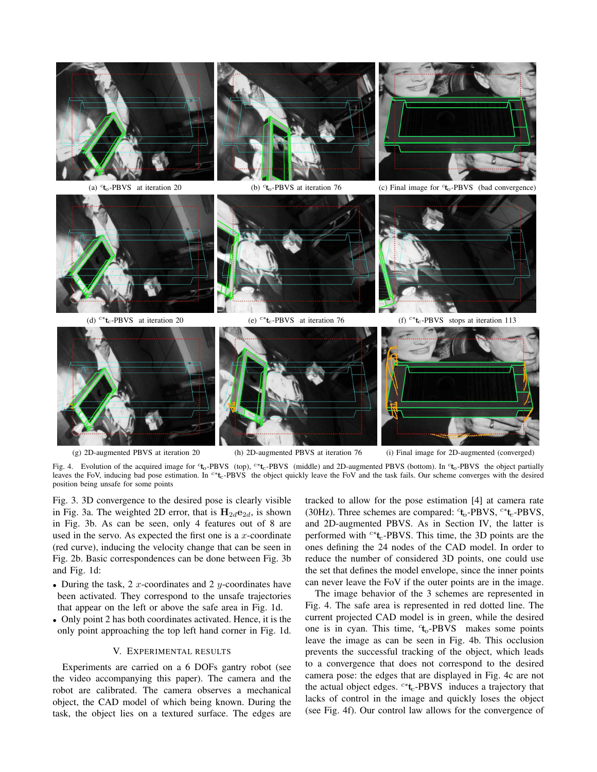



(g) 2D-augmented PBVS at iteration 20 (h) 2D-augmented PBVS at iteration 76 (i) Final image for 2D-augmented (converged)

Fig. 4. Evolution of the acquired image for <sup>c</sup>t<sub>o</sub>-PBVS (top), <sup>c∗t</sup>t<sub>c</sub>-PBVS (middle) and 2D-augmented PBVS (bottom). In <sup>ct</sup>o-PBVS the object partially leaves the FoV, inducing bad pose estimation. In <sup>c∗</sup>t<sub>c</sub>-PBVS the object quickly leave the FoV and the task fails. Our scheme converges with the desired position being unsafe for some points

Fig. 3. 3D convergence to the desired pose is clearly visible in Fig. 3a. The weighted 2D error, that is  $H_{2d}e_{2d}$ , is shown in Fig. 3b. As can be seen, only 4 features out of 8 are used in the servo. As expected the first one is a  $x$ -coordinate (red curve), inducing the velocity change that can be seen in Fig. 2b. Basic correspondences can be done between Fig. 3b and Fig. 1d:

- During the task, 2  $x$ -coordinates and 2  $y$ -coordinates have been activated. They correspond to the unsafe trajectories that appear on the left or above the safe area in Fig. 1d.
- Only point 2 has both coordinates activated. Hence, it is the only point approaching the top left hand corner in Fig. 1d.

#### V. EXPERIMENTAL RESULTS

Experiments are carried on a 6 DOFs gantry robot (see the video accompanying this paper). The camera and the robot are calibrated. The camera observes a mechanical object, the CAD model of which being known. During the task, the object lies on a textured surface. The edges are tracked to allow for the pose estimation [4] at camera rate (30Hz). Three schemes are compared:  $t_0$ -PBVS,  $c*t_c$ -PBVS, and 2D-augmented PBVS. As in Section IV, the latter is performed with  $c$ <sup>\*</sup>t<sub>c</sub>-PBVS. This time, the 3D points are the ones defining the 24 nodes of the CAD model. In order to reduce the number of considered 3D points, one could use the set that defines the model envelope, since the inner points can never leave the FoV if the outer points are in the image.

The image behavior of the 3 schemes are represented in Fig. 4. The safe area is represented in red dotted line. The current projected CAD model is in green, while the desired one is in cyan. This time,  $t_0$ -PBVS makes some points leave the image as can be seen in Fig. 4b. This occlusion prevents the successful tracking of the object, which leads to a convergence that does not correspond to the desired camera pose: the edges that are displayed in Fig. 4c are not the actual object edges.  $c^*t_c$ -PBVS induces a trajectory that lacks of control in the image and quickly loses the object (see Fig. 4f). Our control law allows for the convergence of